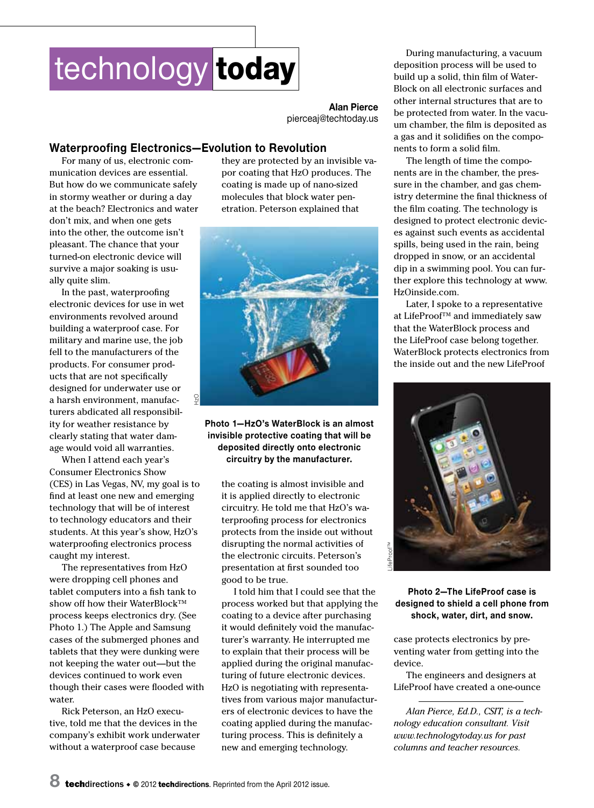# technology today

**Alan Pierce** pierceaj@techtoday.us

### **Waterproofing Electronics—Evolution to Revolution**

For many of us, electronic communication devices are essential. But how do we communicate safely in stormy weather or during a day at the beach? Electronics and water don't mix, and when one gets into the other, the outcome isn't pleasant. The chance that your turned-on electronic device will survive a major soaking is usually quite slim.

In the past, waterproofing electronic devices for use in wet environments revolved around building a waterproof case. For military and marine use, the job fell to the manufacturers of the products. For consumer products that are not specifically designed for underwater use or a harsh environment, manufacturers abdicated all responsibility for weather resistance by clearly stating that water damage would void all warranties.

When I attend each year's Consumer Electronics Show (CES) in Las Vegas, NV, my goal is to find at least one new and emerging technology that will be of interest to technology educators and their students. At this year's show, HzO's waterproofing electronics process caught my interest.

The representatives from HzO were dropping cell phones and tablet computers into a fish tank to show off how their WaterBlock™ process keeps electronics dry. (See Photo 1.) The Apple and Samsung cases of the submerged phones and tablets that they were dunking were not keeping the water out—but the devices continued to work even though their cases were flooded with water.

Rick Peterson, an HzO executive, told me that the devices in the company's exhibit work underwater without a waterproof case because

they are protected by an invisible vapor coating that HzO produces. The coating is made up of nano-sized molecules that block water penetration. Peterson explained that



**Photo 1—HzO's WaterBlock is an almost invisible protective coating that will be deposited directly onto electronic circuitry by the manufacturer.** 

the coating is almost invisible and it is applied directly to electronic circuitry. He told me that HzO's waterproofing process for electronics protects from the inside out without disrupting the normal activities of the electronic circuits. Peterson's presentation at first sounded too good to be true.

I told him that I could see that the process worked but that applying the coating to a device after purchasing it would definitely void the manufacturer's warranty. He interrupted me to explain that their process will be applied during the original manufacturing of future electronic devices. HzO is negotiating with representatives from various major manufacturers of electronic devices to have the coating applied during the manufacturing process. This is definitely a new and emerging technology.

During manufacturing, a vacuum deposition process will be used to build up a solid, thin film of Water-Block on all electronic surfaces and other internal structures that are to be protected from water. In the vacuum chamber, the film is deposited as a gas and it solidifies on the components to form a solid film.

The length of time the components are in the chamber, the pressure in the chamber, and gas chemistry determine the final thickness of the film coating. The technology is designed to protect electronic devices against such events as accidental spills, being used in the rain, being dropped in snow, or an accidental dip in a swimming pool. You can further explore this technology at www. HzOinside.com.

Later, I spoke to a representative at LifeProof™ and immediately saw that the WaterBlock process and the LifeProof case belong together. WaterBlock protects electronics from the inside out and the new LifeProof



#### **Photo 2—The LifeProof case is designed to shield a cell phone from shock, water, dirt, and snow.**

case protects electronics by preventing water from getting into the device.

The engineers and designers at LifeProof have created a one-ounce

*Alan Pierce, Ed.D., CSIT, is a technology education consultant. Visit www.technologytoday.us for past columns and teacher resources.*